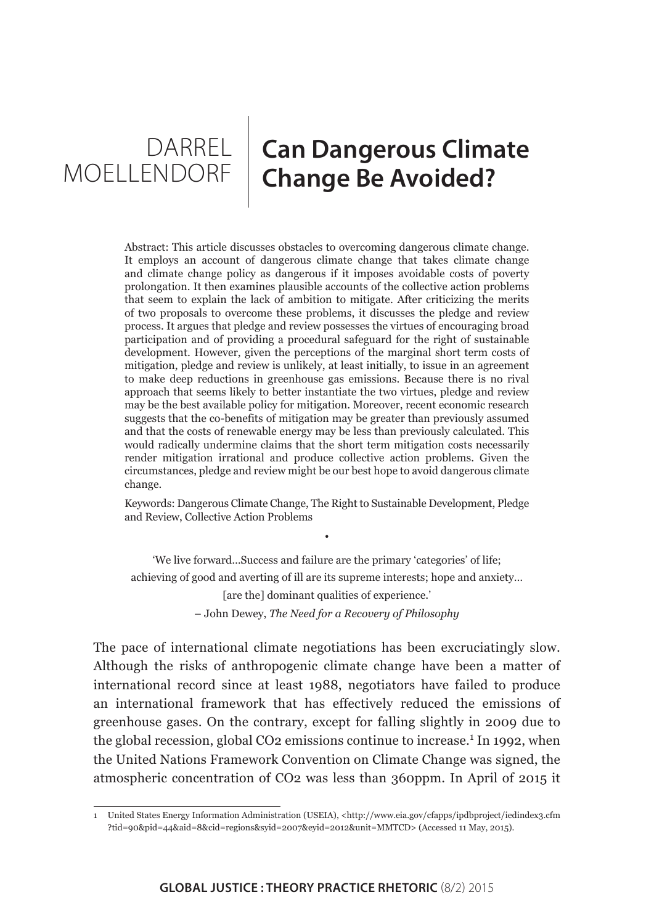DARREL | MOELLENDORF

# **Can Dangerous Climate Change Be Avoided?**

Abstract: This article discusses obstacles to overcoming dangerous climate change. It employs an account of dangerous climate change that takes climate change and climate change policy as dangerous if it imposes avoidable costs of poverty prolongation. It then examines plausible accounts of the collective action problems that seem to explain the lack of ambition to mitigate. After criticizing the merits of two proposals to overcome these problems, it discusses the pledge and review process. It argues that pledge and review possesses the virtues of encouraging broad participation and of providing a procedural safeguard for the right of sustainable development. However, given the perceptions of the marginal short term costs of mitigation, pledge and review is unlikely, at least initially, to issue in an agreement to make deep reductions in greenhouse gas emissions. Because there is no rival approach that seems likely to better instantiate the two virtues, pledge and review may be the best available policy for mitigation. Moreover, recent economic research suggests that the co-benefits of mitigation may be greater than previously assumed and that the costs of renewable energy may be less than previously calculated. This would radically undermine claims that the short term mitigation costs necessarily render mitigation irrational and produce collective action problems. Given the circumstances, pledge and review might be our best hope to avoid dangerous climate change.

Keywords: Dangerous Climate Change, The Right to Sustainable Development, Pledge and Review, Collective Action Problems

•

'We live forward…Success and failure are the primary 'categories' of life; achieving of good and averting of ill are its supreme interests; hope and anxiety… [are the] dominant qualities of experience.'

– John Dewey, *The Need for a Recovery of Philosophy*

The pace of international climate negotiations has been excruciatingly slow. Although the risks of anthropogenic climate change have been a matter of international record since at least 1988, negotiators have failed to produce an international framework that has effectively reduced the emissions of greenhouse gases. On the contrary, except for falling slightly in 2009 due to the global recession, global CO2 emissions continue to increase.<sup>1</sup> In 1992, when the United Nations Framework Convention on Climate Change was signed, the atmospheric concentration of CO2 was less than 360ppm. In April of 2015 it

<sup>1</sup> United States Energy Information Administration (USEIA), <[http://www.eia.gov/cfapps/ipdbproject/iedindex3.cfm](http://www.eia.gov/cfapps/ipdbproject/iedindex3.cfm?tid=90&pid=44&aid=8&cid=regions&syid=2007&eyid=2012&unit=MMTCD) [?tid=90&pid=44&aid=8&cid=regions&syid=2007&eyid=2012&unit=MMTCD](http://www.eia.gov/cfapps/ipdbproject/iedindex3.cfm?tid=90&pid=44&aid=8&cid=regions&syid=2007&eyid=2012&unit=MMTCD)> (Accessed 11 May, 2015).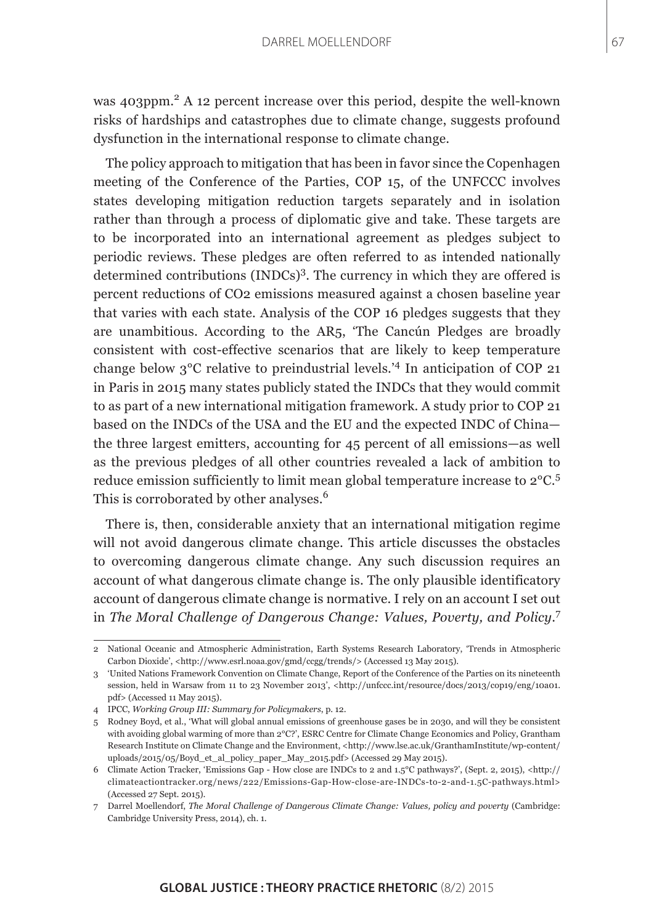was 403ppm.<sup>2</sup> A 12 percent increase over this period, despite the well-known risks of hardships and catastrophes due to climate change, suggests profound dysfunction in the international response to climate change.

The policy approach to mitigation that has been in favor since the Copenhagen meeting of the Conference of the Parties, COP 15, of the UNFCCC involves states developing mitigation reduction targets separately and in isolation rather than through a process of diplomatic give and take. These targets are to be incorporated into an international agreement as pledges subject to periodic reviews. These pledges are often referred to as intended nationally determined contributions (INDCs)<sup>3</sup>. The currency in which they are offered is percent reductions of CO2 emissions measured against a chosen baseline year that varies with each state. Analysis of the COP 16 pledges suggests that they are unambitious. According to the AR5, 'The Cancún Pledges are broadly consistent with cost-effective scenarios that are likely to keep temperature change below 3°C relative to preindustrial levels.'4 In anticipation of COP 21 in Paris in 2015 many states publicly stated the INDCs that they would commit to as part of a new international mitigation framework. A study prior to COP 21 based on the INDCs of the USA and the EU and the expected INDC of China the three largest emitters, accounting for 45 percent of all emissions—as well as the previous pledges of all other countries revealed a lack of ambition to reduce emission sufficiently to limit mean global temperature increase to 2°C.<sup>5</sup> This is corroborated by other analyses.<sup>6</sup>

There is, then, considerable anxiety that an international mitigation regime will not avoid dangerous climate change. This article discusses the obstacles to overcoming dangerous climate change. Any such discussion requires an account of what dangerous climate change is. The only plausible identificatory account of dangerous climate change is normative. I rely on an account I set out in *The Moral Challenge of Dangerous Change: Values, Poverty, and Policy*. 7

<sup>2</sup> National Oceanic and Atmospheric Administration, Earth Systems Research Laboratory, 'Trends in Atmospheric Carbon Dioxide', [<http://www.esrl.noaa.gov/gmd/ccgg/trends/>](http://www.esrl.noaa.gov/gmd/ccgg/trends/) (Accessed 13 May 2015).

<sup>3 &#</sup>x27;United Nations Framework Convention on Climate Change, Report of the Conference of the Parties on its nineteenth session, held in Warsaw from 11 to 23 November 2013', <[http://unfccc.int/resource/docs/2013/cop19/eng/10a01.](http://unfccc.int/resource/docs/2013/cop19/eng/10a01.pdf) [pdf>](http://unfccc.int/resource/docs/2013/cop19/eng/10a01.pdf) (Accessed 11 May 2015).

<sup>4</sup> IPCC, *Working Group III: Summary for Policymakers*, p. 12.

<sup>5</sup> Rodney Boyd, et al., 'What will global annual emissions of greenhouse gases be in 2030, and will they be consistent with avoiding global warming of more than 2°C?', ESRC Centre for Climate Change Economics and Policy, Grantham Research Institute on Climate Change and the Environment, <[http://www.lse.ac.uk/GranthamInstitute/wp-content/](http://www.lse.ac.uk/GranthamInstitute/wp-content/uploads/2015/05/Boyd_et_al_policy_paper_May_2015.pdf) [uploads/2015/05/Boyd\\_et\\_al\\_policy\\_paper\\_May\\_2015.pdf>](http://www.lse.ac.uk/GranthamInstitute/wp-content/uploads/2015/05/Boyd_et_al_policy_paper_May_2015.pdf) (Accessed 29 May 2015).

<sup>6</sup> Climate Action Tracker, 'Emissions Gap - How close are INDCs to 2 and 1.5°C pathways?', (Sept. 2, 2015), [<http://](http://climateactiontracker.org/news/222/Emissions-Gap-How-close-are-INDCs-to-2-and-1.5C-pathways.html) [climateactiontracker.org/news/222/Emissions-Gap-How-close-are-INDCs-to-2-and-1.5C-pathways.html](http://climateactiontracker.org/news/222/Emissions-Gap-How-close-are-INDCs-to-2-and-1.5C-pathways.html)> (Accessed 27 Sept. 2015).

<sup>7</sup> Darrel Moellendorf, *The Moral Challenge of Dangerous Climate Change: Values, policy and poverty* (Cambridge: Cambridge University Press, 2014), ch. 1.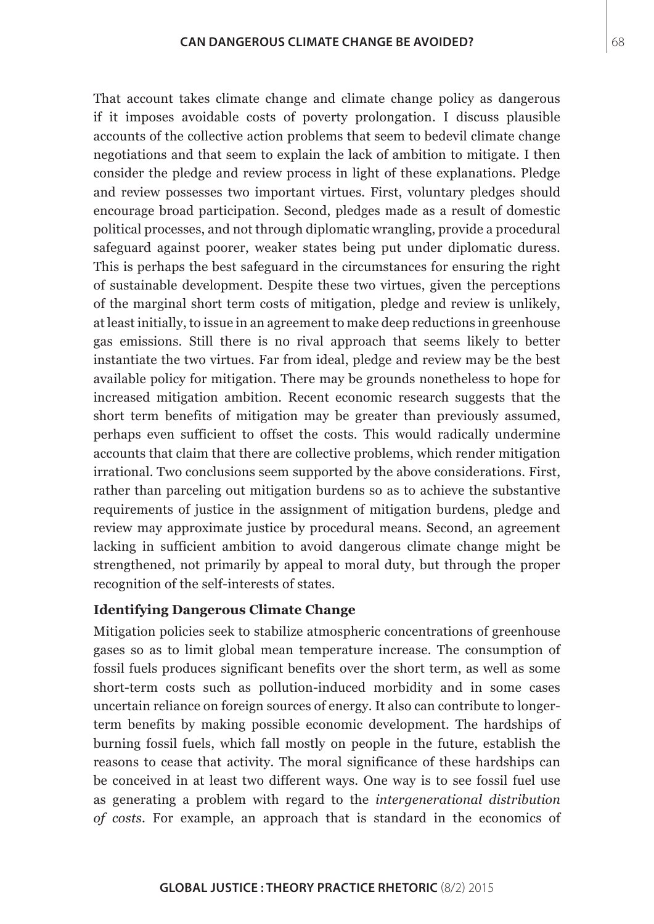That account takes climate change and climate change policy as dangerous if it imposes avoidable costs of poverty prolongation. I discuss plausible accounts of the collective action problems that seem to bedevil climate change negotiations and that seem to explain the lack of ambition to mitigate. I then consider the pledge and review process in light of these explanations. Pledge and review possesses two important virtues. First, voluntary pledges should encourage broad participation. Second, pledges made as a result of domestic political processes, and not through diplomatic wrangling, provide a procedural safeguard against poorer, weaker states being put under diplomatic duress. This is perhaps the best safeguard in the circumstances for ensuring the right of sustainable development. Despite these two virtues, given the perceptions of the marginal short term costs of mitigation, pledge and review is unlikely, at least initially, to issue in an agreement to make deep reductions in greenhouse gas emissions. Still there is no rival approach that seems likely to better instantiate the two virtues. Far from ideal, pledge and review may be the best available policy for mitigation. There may be grounds nonetheless to hope for increased mitigation ambition. Recent economic research suggests that the short term benefits of mitigation may be greater than previously assumed, perhaps even sufficient to offset the costs. This would radically undermine accounts that claim that there are collective problems, which render mitigation irrational. Two conclusions seem supported by the above considerations. First, rather than parceling out mitigation burdens so as to achieve the substantive requirements of justice in the assignment of mitigation burdens, pledge and review may approximate justice by procedural means. Second, an agreement lacking in sufficient ambition to avoid dangerous climate change might be strengthened, not primarily by appeal to moral duty, but through the proper recognition of the self-interests of states.

#### **Identifying Dangerous Climate Change**

Mitigation policies seek to stabilize atmospheric concentrations of greenhouse gases so as to limit global mean temperature increase. The consumption of fossil fuels produces significant benefits over the short term, as well as some short-term costs such as pollution-induced morbidity and in some cases uncertain reliance on foreign sources of energy. It also can contribute to longerterm benefits by making possible economic development. The hardships of burning fossil fuels, which fall mostly on people in the future, establish the reasons to cease that activity. The moral significance of these hardships can be conceived in at least two different ways. One way is to see fossil fuel use as generating a problem with regard to the *intergenerational distribution of costs*. For example, an approach that is standard in the economics of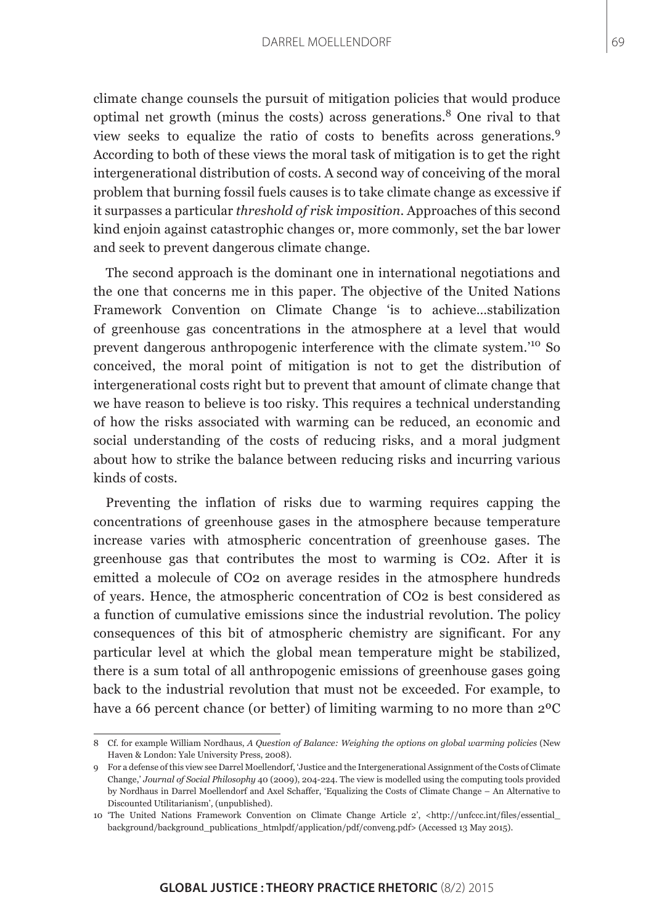climate change counsels the pursuit of mitigation policies that would produce optimal net growth (minus the costs) across generations.<sup>8</sup> One rival to that view seeks to equalize the ratio of costs to benefits across generations.<sup>9</sup> According to both of these views the moral task of mitigation is to get the right intergenerational distribution of costs. A second way of conceiving of the moral problem that burning fossil fuels causes is to take climate change as excessive if it surpasses a particular *threshold of risk imposition*. Approaches of this second kind enjoin against catastrophic changes or, more commonly, set the bar lower and seek to prevent dangerous climate change.

The second approach is the dominant one in international negotiations and the one that concerns me in this paper. The objective of the United Nations Framework Convention on Climate Change 'is to achieve…stabilization of greenhouse gas concentrations in the atmosphere at a level that would prevent dangerous anthropogenic interference with the climate system.'10 So conceived, the moral point of mitigation is not to get the distribution of intergenerational costs right but to prevent that amount of climate change that we have reason to believe is too risky. This requires a technical understanding of how the risks associated with warming can be reduced, an economic and social understanding of the costs of reducing risks, and a moral judgment about how to strike the balance between reducing risks and incurring various kinds of costs.

Preventing the inflation of risks due to warming requires capping the concentrations of greenhouse gases in the atmosphere because temperature increase varies with atmospheric concentration of greenhouse gases. The greenhouse gas that contributes the most to warming is CO2. After it is emitted a molecule of CO2 on average resides in the atmosphere hundreds of years. Hence, the atmospheric concentration of CO2 is best considered as a function of cumulative emissions since the industrial revolution. The policy consequences of this bit of atmospheric chemistry are significant. For any particular level at which the global mean temperature might be stabilized, there is a sum total of all anthropogenic emissions of greenhouse gases going back to the industrial revolution that must not be exceeded. For example, to have a 66 percent chance (or better) of limiting warming to no more than 2ºC

<sup>8</sup> Cf. for example William Nordhaus, *A Question of Balance: Weighing the options on global warming policies* (New Haven & London: Yale University Press, 2008).

<sup>9</sup> For a defense of this view see Darrel Moellendorf, 'Justice and the Intergenerational Assignment of the Costs of Climate Change,' *Journal of Social Philosophy* 40 (2009), 204-224. The view is modelled using the computing tools provided by Nordhaus in Darrel Moellendorf and Axel Schaffer, 'Equalizing the Costs of Climate Change – An Alternative to Discounted Utilitarianism', (unpublished).

<sup>10 &#</sup>x27;The United Nations Framework Convention on Climate Change Article 2', <[http://unfccc.int/files/essential\\_](http://unfccc.int/files/essential_background/background_publications_htmlpdf/application/pdf/conveng.pdf) [background/background\\_publications\\_htmlpdf/application/pdf/conveng.pdf](http://unfccc.int/files/essential_background/background_publications_htmlpdf/application/pdf/conveng.pdf)> (Accessed 13 May 2015).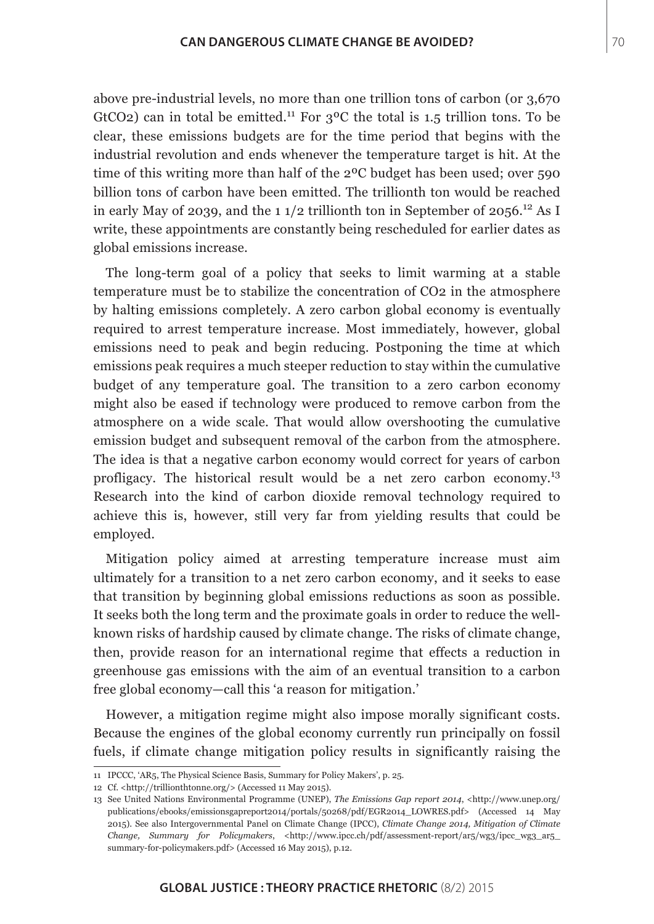above pre-industrial levels, no more than one trillion tons of carbon (or 3,670 GtCO2) can in total be emitted.<sup>11</sup> For  $3^{\circ}$ C the total is 1.5 trillion tons. To be clear, these emissions budgets are for the time period that begins with the industrial revolution and ends whenever the temperature target is hit. At the time of this writing more than half of the 2ºC budget has been used; over 590 billion tons of carbon have been emitted. The trillionth ton would be reached in early May of 2039, and the 1  $1/2$  trillionth ton in September of 2056.<sup>12</sup> As I write, these appointments are constantly being rescheduled for earlier dates as global emissions increase.

The long-term goal of a policy that seeks to limit warming at a stable temperature must be to stabilize the concentration of CO2 in the atmosphere by halting emissions completely. A zero carbon global economy is eventually required to arrest temperature increase. Most immediately, however, global emissions need to peak and begin reducing. Postponing the time at which emissions peak requires a much steeper reduction to stay within the cumulative budget of any temperature goal. The transition to a zero carbon economy might also be eased if technology were produced to remove carbon from the atmosphere on a wide scale. That would allow overshooting the cumulative emission budget and subsequent removal of the carbon from the atmosphere. The idea is that a negative carbon economy would correct for years of carbon profligacy. The historical result would be a net zero carbon economy.<sup>13</sup> Research into the kind of carbon dioxide removal technology required to achieve this is, however, still very far from yielding results that could be employed.

Mitigation policy aimed at arresting temperature increase must aim ultimately for a transition to a net zero carbon economy, and it seeks to ease that transition by beginning global emissions reductions as soon as possible. It seeks both the long term and the proximate goals in order to reduce the wellknown risks of hardship caused by climate change. The risks of climate change, then, provide reason for an international regime that effects a reduction in greenhouse gas emissions with the aim of an eventual transition to a carbon free global economy—call this 'a reason for mitigation.'

However, a mitigation regime might also impose morally significant costs. Because the engines of the global economy currently run principally on fossil fuels, if climate change mitigation policy results in significantly raising the

<sup>11</sup> IPCCC, 'AR5, The Physical Science Basis, Summary for Policy Makers', p. 25.

<sup>12</sup> Cf. [<http://trillionthtonne.org/](http://trillionthtonne.org/)> (Accessed 11 May 2015).

<sup>13</sup> See United Nations Environmental Programme (UNEP), *The Emissions Gap report 2014*, [<http://www.unep.org/](http://www.unep.org/publications/ebooks/emissionsgapreport2014/portals/50268/pdf/EGR2014_LOWRES.pdf) [publications/ebooks/emissionsgapreport2014/portals/50268/pdf/EGR2014\\_LOWRES.pdf](http://www.unep.org/publications/ebooks/emissionsgapreport2014/portals/50268/pdf/EGR2014_LOWRES.pdf)> (Accessed 14 May 2015). See also Intergovernmental Panel on Climate Change (IPCC), *Climate Change 2014, Mitigation of Climate Change, Summary for Policymakers, <http://www.ipcc.ch/pdf/assessment-report/ar5/wg3/ipcc wg3 ar5* [summary-for-policymakers.pdf>](http://www.ipcc.ch/pdf/assessment-report/ar5/wg3/ipcc_wg3_ar5_summary-for-policymakers.pdf) (Accessed 16 May 2015), p.12.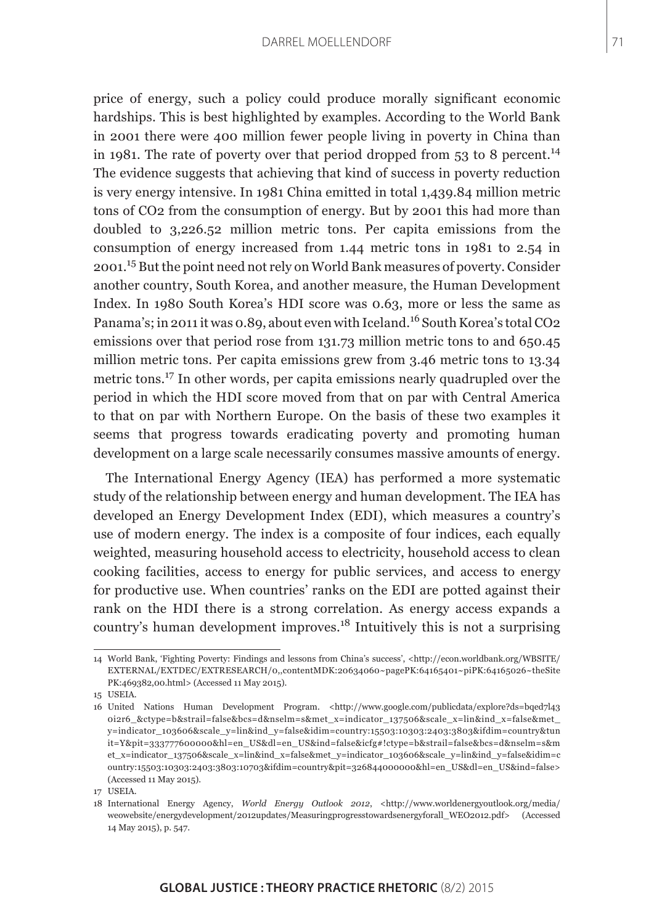price of energy, such a policy could produce morally significant economic hardships. This is best highlighted by examples. According to the World Bank in 2001 there were 400 million fewer people living in poverty in China than in 1981. The rate of poverty over that period dropped from  $53$  to 8 percent.<sup>14</sup> The evidence suggests that achieving that kind of success in poverty reduction is very energy intensive. In 1981 China emitted in total 1,439.84 million metric tons of CO2 from the consumption of energy. But by 2001 this had more than doubled to 3,226.52 million metric tons. Per capita emissions from the consumption of energy increased from 1.44 metric tons in 1981 to 2.54 in 2001.15 But the point need not rely on World Bank measures of poverty. Consider another country, South Korea, and another measure, the Human Development Index. In 1980 South Korea's HDI score was 0.63, more or less the same as Panama's; in 2011 it was 0.89, about even with Iceland.<sup>16</sup> South Korea's total CO2 emissions over that period rose from 131.73 million metric tons to and 650.45 million metric tons. Per capita emissions grew from 3.46 metric tons to 13.34 metric tons.17 In other words, per capita emissions nearly quadrupled over the period in which the HDI score moved from that on par with Central America to that on par with Northern Europe. On the basis of these two examples it seems that progress towards eradicating poverty and promoting human development on a large scale necessarily consumes massive amounts of energy.

The International Energy Agency (IEA) has performed a more systematic study of the relationship between energy and human development. The IEA has developed an Energy Development Index (EDI), which measures a country's use of modern energy. The index is a composite of four indices, each equally weighted, measuring household access to electricity, household access to clean cooking facilities, access to energy for public services, and access to energy for productive use. When countries' ranks on the EDI are potted against their rank on the HDI there is a strong correlation. As energy access expands a country's human development improves.18 Intuitively this is not a surprising

15 USEIA.

<sup>14</sup> World Bank, 'Fighting Poverty: Findings and lessons from China's success', <[http://econ.worldbank.org/WBSITE/](http://econ.worldbank.org/WBSITE/EXTERNAL/EXTDEC/EXTRESEARCH/0,,contentMDK:20634060~pagePK:64165401~piPK:64165026~theSitePK:469382,00.html) [EXTERNAL/EXTDEC/EXTRESEARCH/0,,contentMDK:20634060~pagePK:64165401~piPK:64165026~theSite](http://econ.worldbank.org/WBSITE/EXTERNAL/EXTDEC/EXTRESEARCH/0,,contentMDK:20634060~pagePK:64165401~piPK:64165026~theSitePK:469382,00.html) [PK:469382,00.html](http://econ.worldbank.org/WBSITE/EXTERNAL/EXTDEC/EXTRESEARCH/0,,contentMDK:20634060~pagePK:64165401~piPK:64165026~theSitePK:469382,00.html)> (Accessed 11 May 2015).

<sup>16</sup> United Nations Human Development Program. <[http://www.google.com/publicdata/explore?ds=bqed7l43](http://www.google.com/publicdata/explore?ds=bqed7l430i2r6_&ctype=b&strail=false&bcs=d&nselm=s&met_x=indicator_137506&scale_x=lin&ind_x=false&met_y=indicator_103606&scale_y=lin&ind_y=false&idim=country:15503:10303:2403:3803&ifdim=country&tunit=Y&pit=333777600000&hl=en_US&dl=en_US&ind=false&icfg#!ctype=b&strail=false&bcs=d&nselm=s&met_x=indicator_137506&scale_x=lin&ind_x=false&met_y=indicator_103606&scale_y=lin&ind_y=false&idim=country:15503:10303:2403:3803:10703&ifdim=country&pit=326844000000&hl=en_US&dl=en_US&ind=false) [0i2r6\\_&ctype=b&strail=false&bcs=d&nselm=s&met\\_x=indicator\\_137506&scale\\_x=lin&ind\\_x=false&met\\_](http://www.google.com/publicdata/explore?ds=bqed7l430i2r6_&ctype=b&strail=false&bcs=d&nselm=s&met_x=indicator_137506&scale_x=lin&ind_x=false&met_y=indicator_103606&scale_y=lin&ind_y=false&idim=country:15503:10303:2403:3803&ifdim=country&tunit=Y&pit=333777600000&hl=en_US&dl=en_US&ind=false&icfg#!ctype=b&strail=false&bcs=d&nselm=s&met_x=indicator_137506&scale_x=lin&ind_x=false&met_y=indicator_103606&scale_y=lin&ind_y=false&idim=country:15503:10303:2403:3803:10703&ifdim=country&pit=326844000000&hl=en_US&dl=en_US&ind=false) [y=indicator\\_103606&scale\\_y=lin&ind\\_y=false&idim=country:15503:10303:2403:3803&ifdim=country&tun](http://www.google.com/publicdata/explore?ds=bqed7l430i2r6_&ctype=b&strail=false&bcs=d&nselm=s&met_x=indicator_137506&scale_x=lin&ind_x=false&met_y=indicator_103606&scale_y=lin&ind_y=false&idim=country:15503:10303:2403:3803&ifdim=country&tunit=Y&pit=333777600000&hl=en_US&dl=en_US&ind=false&icfg#!ctype=b&strail=false&bcs=d&nselm=s&met_x=indicator_137506&scale_x=lin&ind_x=false&met_y=indicator_103606&scale_y=lin&ind_y=false&idim=country:15503:10303:2403:3803:10703&ifdim=country&pit=326844000000&hl=en_US&dl=en_US&ind=false) [it=Y&pit=333777600000&hl=en\\_US&dl=en\\_US&ind=false&icfg#!ctype=b&strail=false&bcs=d&nselm=s&m](http://www.google.com/publicdata/explore?ds=bqed7l430i2r6_&ctype=b&strail=false&bcs=d&nselm=s&met_x=indicator_137506&scale_x=lin&ind_x=false&met_y=indicator_103606&scale_y=lin&ind_y=false&idim=country:15503:10303:2403:3803&ifdim=country&tunit=Y&pit=333777600000&hl=en_US&dl=en_US&ind=false&icfg#!ctype=b&strail=false&bcs=d&nselm=s&met_x=indicator_137506&scale_x=lin&ind_x=false&met_y=indicator_103606&scale_y=lin&ind_y=false&idim=country:15503:10303:2403:3803:10703&ifdim=country&pit=326844000000&hl=en_US&dl=en_US&ind=false) [et\\_x=indicator\\_137506&scale\\_x=lin&ind\\_x=false&met\\_y=indicator\\_103606&scale\\_y=lin&ind\\_y=false&idim=c](http://www.google.com/publicdata/explore?ds=bqed7l430i2r6_&ctype=b&strail=false&bcs=d&nselm=s&met_x=indicator_137506&scale_x=lin&ind_x=false&met_y=indicator_103606&scale_y=lin&ind_y=false&idim=country:15503:10303:2403:3803&ifdim=country&tunit=Y&pit=333777600000&hl=en_US&dl=en_US&ind=false&icfg#!ctype=b&strail=false&bcs=d&nselm=s&met_x=indicator_137506&scale_x=lin&ind_x=false&met_y=indicator_103606&scale_y=lin&ind_y=false&idim=country:15503:10303:2403:3803:10703&ifdim=country&pit=326844000000&hl=en_US&dl=en_US&ind=false) [ountry:15503:10303:2403:3803:10703&ifdim=country&pit=326844000000&hl=en\\_US&dl=en\\_US&ind=false](http://www.google.com/publicdata/explore?ds=bqed7l430i2r6_&ctype=b&strail=false&bcs=d&nselm=s&met_x=indicator_137506&scale_x=lin&ind_x=false&met_y=indicator_103606&scale_y=lin&ind_y=false&idim=country:15503:10303:2403:3803&ifdim=country&tunit=Y&pit=333777600000&hl=en_US&dl=en_US&ind=false&icfg#!ctype=b&strail=false&bcs=d&nselm=s&met_x=indicator_137506&scale_x=lin&ind_x=false&met_y=indicator_103606&scale_y=lin&ind_y=false&idim=country:15503:10303:2403:3803:10703&ifdim=country&pit=326844000000&hl=en_US&dl=en_US&ind=false)> (Accessed 11 May 2015).

<sup>17</sup> USEIA.

<sup>18</sup> International Energy Agency, *World Energy Outlook 2012*, [<http://www.worldenergyoutlook.org/media/](http://www.worldenergyoutlook.org/media/weowebsite/energydevelopment/2012updates/Measuringprogresstowardsenergyforall_WEO2012.pdf) [weowebsite/energydevelopment/2012updates/Measuringprogresstowardsenergyforall\\_WEO2012.pdf](http://www.worldenergyoutlook.org/media/weowebsite/energydevelopment/2012updates/Measuringprogresstowardsenergyforall_WEO2012.pdf)> (Accessed 14 May 2015), p. 547.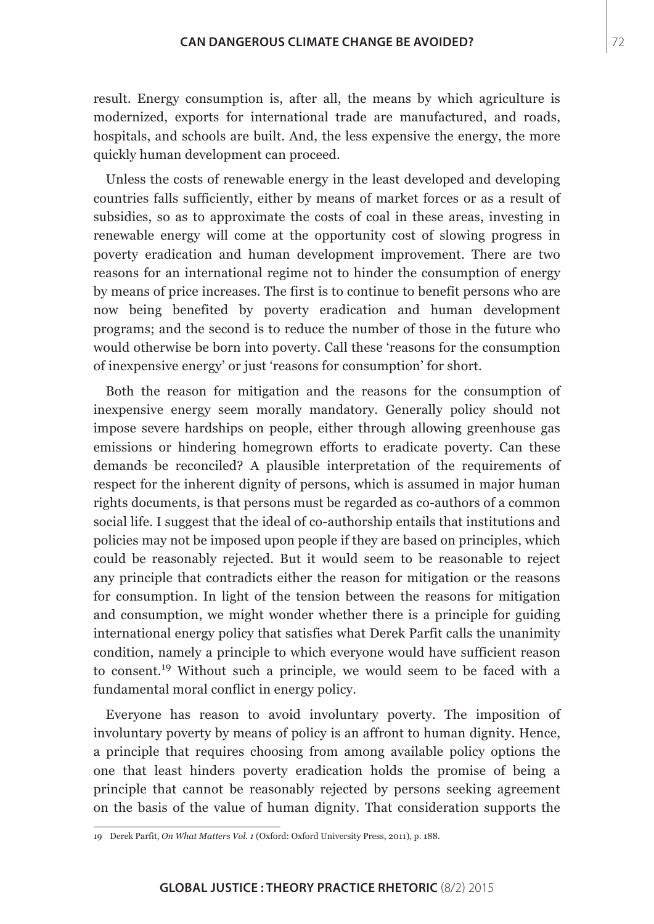result. Energy consumption is, after all, the means by which agriculture is modernized, exports for international trade are manufactured, and roads, hospitals, and schools are built. And, the less expensive the energy, the more quickly human development can proceed.

Unless the costs of renewable energy in the least developed and developing countries falls sufficiently, either by means of market forces or as a result of subsidies, so as to approximate the costs of coal in these areas, investing in renewable energy will come at the opportunity cost of slowing progress in poverty eradication and human development improvement. There are two reasons for an international regime not to hinder the consumption of energy by means of price increases. The first is to continue to benefit persons who are now being benefited by poverty eradication and human development programs; and the second is to reduce the number of those in the future who would otherwise be born into poverty. Call these 'reasons for the consumption of inexpensive energy' or just 'reasons for consumption' for short.

Both the reason for mitigation and the reasons for the consumption of inexpensive energy seem morally mandatory. Generally policy should not impose severe hardships on people, either through allowing greenhouse gas emissions or hindering homegrown efforts to eradicate poverty. Can these demands be reconciled? A plausible interpretation of the requirements of respect for the inherent dignity of persons, which is assumed in major human rights documents, is that persons must be regarded as co-authors of a common social life. I suggest that the ideal of co-authorship entails that institutions and policies may not be imposed upon people if they are based on principles, which could be reasonably rejected. But it would seem to be reasonable to reject any principle that contradicts either the reason for mitigation or the reasons for consumption. In light of the tension between the reasons for mitigation and consumption, we might wonder whether there is a principle for guiding international energy policy that satisfies what Derek Parfit calls the unanimity condition, namely a principle to which everyone would have sufficient reason to consent.19 Without such a principle, we would seem to be faced with a fundamental moral conflict in energy policy.

Everyone has reason to avoid involuntary poverty. The imposition of involuntary poverty by means of policy is an affront to human dignity. Hence, a principle that requires choosing from among available policy options the one that least hinders poverty eradication holds the promise of being a principle that cannot be reasonably rejected by persons seeking agreement on the basis of the value of human dignity. That consideration supports the

<sup>19</sup> Derek Parfit, *On What Matters Vol. 1* (Oxford: Oxford University Press, 2011), p. 188.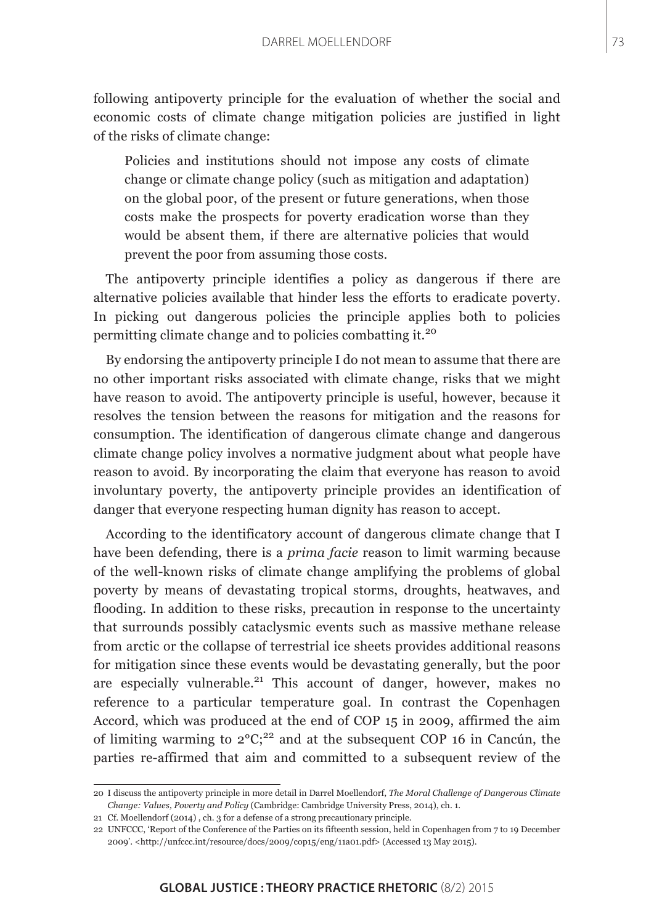following antipoverty principle for the evaluation of whether the social and economic costs of climate change mitigation policies are justified in light of the risks of climate change:

Policies and institutions should not impose any costs of climate change or climate change policy (such as mitigation and adaptation) on the global poor, of the present or future generations, when those costs make the prospects for poverty eradication worse than they would be absent them, if there are alternative policies that would prevent the poor from assuming those costs.

The antipoverty principle identifies a policy as dangerous if there are alternative policies available that hinder less the efforts to eradicate poverty. In picking out dangerous policies the principle applies both to policies permitting climate change and to policies combatting it.<sup>20</sup>

By endorsing the antipoverty principle I do not mean to assume that there are no other important risks associated with climate change, risks that we might have reason to avoid. The antipoverty principle is useful, however, because it resolves the tension between the reasons for mitigation and the reasons for consumption. The identification of dangerous climate change and dangerous climate change policy involves a normative judgment about what people have reason to avoid. By incorporating the claim that everyone has reason to avoid involuntary poverty, the antipoverty principle provides an identification of danger that everyone respecting human dignity has reason to accept.

According to the identificatory account of dangerous climate change that I have been defending, there is a *prima facie* reason to limit warming because of the well-known risks of climate change amplifying the problems of global poverty by means of devastating tropical storms, droughts, heatwaves, and flooding. In addition to these risks, precaution in response to the uncertainty that surrounds possibly cataclysmic events such as massive methane release from arctic or the collapse of terrestrial ice sheets provides additional reasons for mitigation since these events would be devastating generally, but the poor are especially vulnerable.<sup>21</sup> This account of danger, however, makes no reference to a particular temperature goal. In contrast the Copenhagen Accord, which was produced at the end of COP 15 in 2009, affirmed the aim of limiting warming to  $2^{\circ}C$ ;<sup>22</sup> and at the subsequent COP 16 in Cancún, the parties re-affirmed that aim and committed to a subsequent review of the

<sup>20</sup> I discuss the antipoverty principle in more detail in Darrel Moellendorf, *The Moral Challenge of Dangerous Climate Change: Values, Poverty and Policy* (Cambridge: Cambridge University Press, 2014), ch. 1.

<sup>21</sup> Cf. Moellendorf (2014) , ch. 3 for a defense of a strong precautionary principle.

<sup>22</sup> UNFCCC, 'Report of the Conference of the Parties on its fifteenth session, held in Copenhagen from 7 to 19 December 2009'. <<http://unfccc.int/resource/docs/2009/cop15/eng/11a01.pdf>> (Accessed 13 May 2015).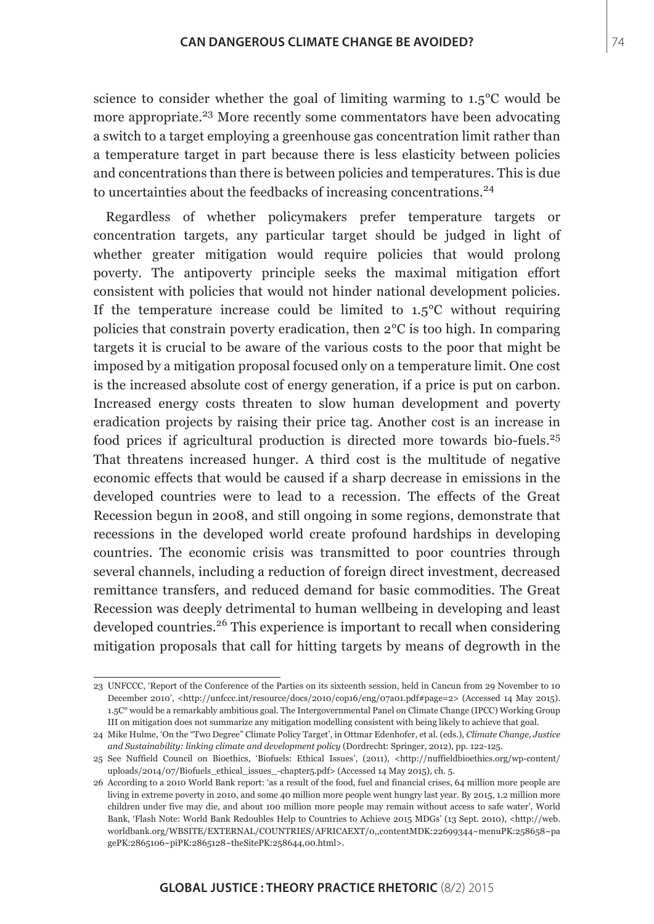science to consider whether the goal of limiting warming to 1.5°C would be more appropriate.<sup>23</sup> More recently some commentators have been advocating a switch to a target employing a greenhouse gas concentration limit rather than a temperature target in part because there is less elasticity between policies and concentrations than there is between policies and temperatures. This is due to uncertainties about the feedbacks of increasing concentrations.<sup>24</sup>

Regardless of whether policymakers prefer temperature targets or concentration targets, any particular target should be judged in light of whether greater mitigation would require policies that would prolong poverty. The antipoverty principle seeks the maximal mitigation effort consistent with policies that would not hinder national development policies. If the temperature increase could be limited to 1.5°C without requiring policies that constrain poverty eradication, then 2°C is too high. In comparing targets it is crucial to be aware of the various costs to the poor that might be imposed by a mitigation proposal focused only on a temperature limit. One cost is the increased absolute cost of energy generation, if a price is put on carbon. Increased energy costs threaten to slow human development and poverty eradication projects by raising their price tag. Another cost is an increase in food prices if agricultural production is directed more towards bio-fuels.<sup>25</sup> That threatens increased hunger. A third cost is the multitude of negative economic effects that would be caused if a sharp decrease in emissions in the developed countries were to lead to a recession. The effects of the Great Recession begun in 2008, and still ongoing in some regions, demonstrate that recessions in the developed world create profound hardships in developing countries. The economic crisis was transmitted to poor countries through several channels, including a reduction of foreign direct investment, decreased remittance transfers, and reduced demand for basic commodities. The Great Recession was deeply detrimental to human wellbeing in developing and least developed countries.26 This experience is important to recall when considering mitigation proposals that call for hitting targets by means of degrowth in the

<sup>23</sup> UNFCCC, 'Report of the Conference of the Parties on its sixteenth session, held in Cancun from 29 November to 10 December 2010', <[http://unfccc.int/resource/docs/2010/cop16/eng/07a01.pdf#page=2>](http://unfccc.int/resource/docs/2010/cop16/eng/07a01.pdf#page=2) (Accessed 14 May 2015). 1.5C° would be a remarkably ambitious goal. The Intergovernmental Panel on Climate Change (IPCC) Working Group III on mitigation does not summarize any mitigation modelling consistent with being likely to achieve that goal.

<sup>24</sup> Mike Hulme, 'On the "Two Degree" Climate Policy Target', in Ottmar Edenhofer, et al. (eds.), *Climate Change, Justice and Sustainability: linking climate and development policy* (Dordrecht: Springer, 2012), pp. 122-125.

<sup>25</sup> See Nuffield Council on Bioethics, 'Biofuels: Ethical Issues', (2011), [<http://nuffieldbioethics.org/wp-content/](http://nuffieldbioethics.org/wp-content/uploads/2014/07/Biofuels_ethical_issues_-chapter5.pdf) uploads/2014/07/Biofuels ethical issues -chapter5.pdf> (Accessed 14 May 2015), ch. 5.

<sup>26</sup> According to a 2010 World Bank report: 'as a result of the food, fuel and financial crises, 64 million more people are living in extreme poverty in 2010, and some 40 million more people went hungry last year. By 2015, 1.2 million more children under five may die, and about 100 million more people may remain without access to safe water', World Bank, 'Flash Note: World Bank Redoubles Help to Countries to Achieve 2015 MDGs' (13 Sept. 2010), <http://web. worldbank.org/WBSITE/EXTERNAL/COUNTRIES/AFRICAEXT/0,,contentMDK:22699344~menuPK:258658~pa gePK:2865106~piPK:2865128~theSitePK:258644,00.html>.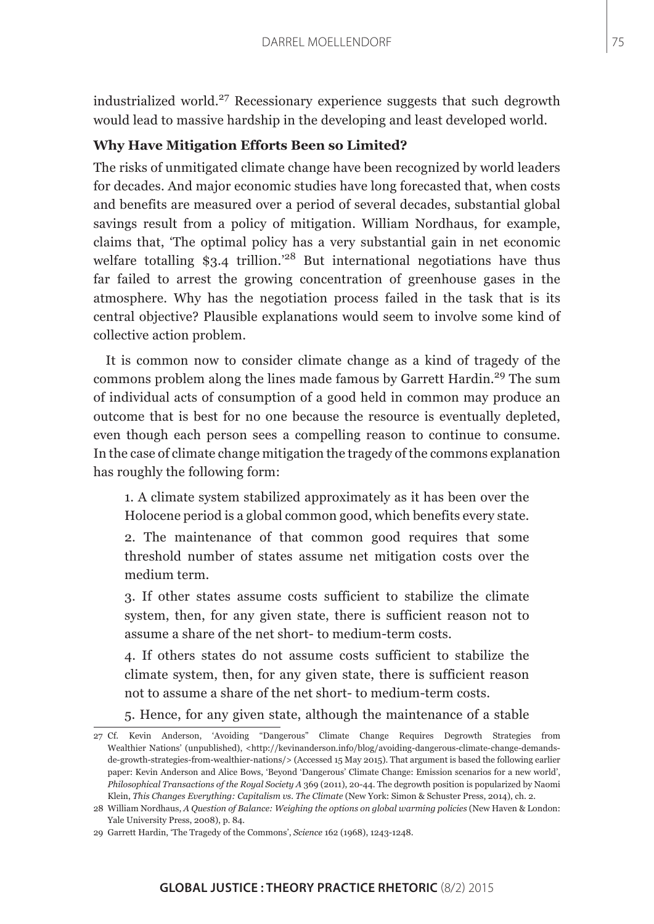industrialized world.<sup>27</sup> Recessionary experience suggests that such degrowth would lead to massive hardship in the developing and least developed world.

### **Why Have Mitigation Efforts Been so Limited?**

The risks of unmitigated climate change have been recognized by world leaders for decades. And major economic studies have long forecasted that, when costs and benefits are measured over a period of several decades, substantial global savings result from a policy of mitigation. William Nordhaus, for example, claims that, 'The optimal policy has a very substantial gain in net economic welfare totalling \$3.4 trillion.<sup>28</sup> But international negotiations have thus far failed to arrest the growing concentration of greenhouse gases in the atmosphere. Why has the negotiation process failed in the task that is its central objective? Plausible explanations would seem to involve some kind of collective action problem.

It is common now to consider climate change as a kind of tragedy of the commons problem along the lines made famous by Garrett Hardin.<sup>29</sup> The sum of individual acts of consumption of a good held in common may produce an outcome that is best for no one because the resource is eventually depleted, even though each person sees a compelling reason to continue to consume. In the case of climate change mitigation the tragedy of the commons explanation has roughly the following form:

1. A climate system stabilized approximately as it has been over the Holocene period is a global common good, which benefits every state.

2. The maintenance of that common good requires that some threshold number of states assume net mitigation costs over the medium term.

3. If other states assume costs sufficient to stabilize the climate system, then, for any given state, there is sufficient reason not to assume a share of the net short- to medium-term costs.

4. If others states do not assume costs sufficient to stabilize the climate system, then, for any given state, there is sufficient reason not to assume a share of the net short- to medium-term costs.

5. Hence, for any given state, although the maintenance of a stable

<sup>27</sup> Cf. Kevin Anderson, 'Avoiding "Dangerous" Climate Change Requires Degrowth Strategies from Wealthier Nations' (unpublished), <[http://kevinanderson.info/blog/avoiding-dangerous-climate-change-demands](http://kevinanderson.info/blog/avoiding-dangerous-climate-change-demands-de-growth-strategies-from-wealthier-nations/)[de-growth-strategies-from-wealthier-nations/>](http://kevinanderson.info/blog/avoiding-dangerous-climate-change-demands-de-growth-strategies-from-wealthier-nations/) (Accessed 15 May 2015). That argument is based the following earlier paper: Kevin Anderson and Alice Bows, 'Beyond 'Dangerous' Climate Change: Emission scenarios for a new world', *Philosophical Transactions of the Royal Society A* 369 (2011), 20-44. The degrowth position is popularized by Naomi Klein, *This Changes Everything: Capitalism vs. The Climate* (New York: Simon & Schuster Press, 2014), ch. 2.

<sup>28</sup> William Nordhaus, *A Question of Balance: Weighing the options on global warming policies* (New Haven & London: Yale University Press, 2008), p. 84.

<sup>29</sup> Garrett Hardin, 'The Tragedy of the Commons', *Science* 162 (1968), 1243-1248.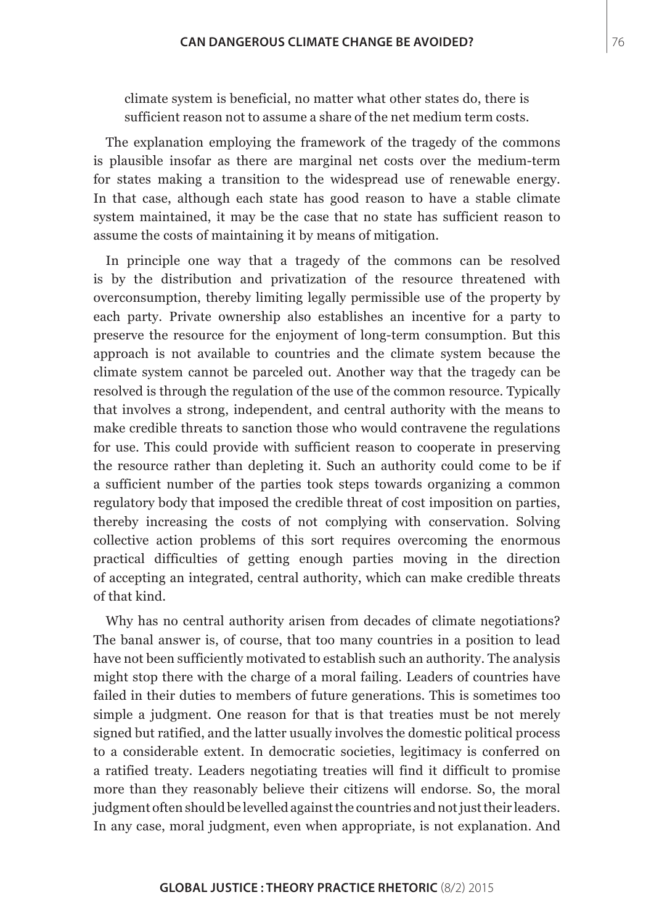climate system is beneficial, no matter what other states do, there is sufficient reason not to assume a share of the net medium term costs.

The explanation employing the framework of the tragedy of the commons is plausible insofar as there are marginal net costs over the medium-term for states making a transition to the widespread use of renewable energy. In that case, although each state has good reason to have a stable climate system maintained, it may be the case that no state has sufficient reason to assume the costs of maintaining it by means of mitigation.

In principle one way that a tragedy of the commons can be resolved is by the distribution and privatization of the resource threatened with overconsumption, thereby limiting legally permissible use of the property by each party. Private ownership also establishes an incentive for a party to preserve the resource for the enjoyment of long-term consumption. But this approach is not available to countries and the climate system because the climate system cannot be parceled out. Another way that the tragedy can be resolved is through the regulation of the use of the common resource. Typically that involves a strong, independent, and central authority with the means to make credible threats to sanction those who would contravene the regulations for use. This could provide with sufficient reason to cooperate in preserving the resource rather than depleting it. Such an authority could come to be if a sufficient number of the parties took steps towards organizing a common regulatory body that imposed the credible threat of cost imposition on parties, thereby increasing the costs of not complying with conservation. Solving collective action problems of this sort requires overcoming the enormous practical difficulties of getting enough parties moving in the direction of accepting an integrated, central authority, which can make credible threats of that kind.

Why has no central authority arisen from decades of climate negotiations? The banal answer is, of course, that too many countries in a position to lead have not been sufficiently motivated to establish such an authority. The analysis might stop there with the charge of a moral failing. Leaders of countries have failed in their duties to members of future generations. This is sometimes too simple a judgment. One reason for that is that treaties must be not merely signed but ratified, and the latter usually involves the domestic political process to a considerable extent. In democratic societies, legitimacy is conferred on a ratified treaty. Leaders negotiating treaties will find it difficult to promise more than they reasonably believe their citizens will endorse. So, the moral judgment often should be levelled against the countries and not just their leaders. In any case, moral judgment, even when appropriate, is not explanation. And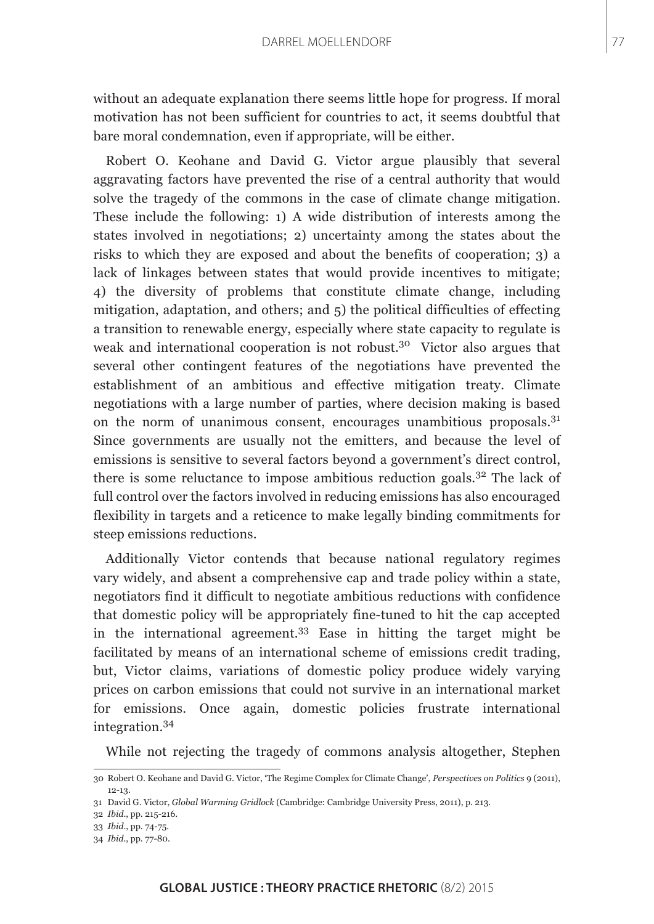without an adequate explanation there seems little hope for progress. If moral motivation has not been sufficient for countries to act, it seems doubtful that bare moral condemnation, even if appropriate, will be either.

Robert O. Keohane and David G. Victor argue plausibly that several aggravating factors have prevented the rise of a central authority that would solve the tragedy of the commons in the case of climate change mitigation. These include the following: 1) A wide distribution of interests among the states involved in negotiations; 2) uncertainty among the states about the risks to which they are exposed and about the benefits of cooperation; 3) a lack of linkages between states that would provide incentives to mitigate; 4) the diversity of problems that constitute climate change, including mitigation, adaptation, and others; and 5) the political difficulties of effecting a transition to renewable energy, especially where state capacity to regulate is weak and international cooperation is not robust.<sup>30</sup> Victor also argues that several other contingent features of the negotiations have prevented the establishment of an ambitious and effective mitigation treaty. Climate negotiations with a large number of parties, where decision making is based on the norm of unanimous consent, encourages unambitious proposals.<sup>31</sup> Since governments are usually not the emitters, and because the level of emissions is sensitive to several factors beyond a government's direct control, there is some reluctance to impose ambitious reduction goals.<sup>32</sup> The lack of full control over the factors involved in reducing emissions has also encouraged flexibility in targets and a reticence to make legally binding commitments for steep emissions reductions.

Additionally Victor contends that because national regulatory regimes vary widely, and absent a comprehensive cap and trade policy within a state, negotiators find it difficult to negotiate ambitious reductions with confidence that domestic policy will be appropriately fine-tuned to hit the cap accepted in the international agreement.<sup>33</sup> Ease in hitting the target might be facilitated by means of an international scheme of emissions credit trading, but, Victor claims, variations of domestic policy produce widely varying prices on carbon emissions that could not survive in an international market for emissions. Once again, domestic policies frustrate international integration.<sup>34</sup>

While not rejecting the tragedy of commons analysis altogether, Stephen

<sup>30</sup> Robert O. Keohane and David G. Victor, 'The Regime Complex for Climate Change', *Perspectives on Politics* 9 (2011), 12-13.

<sup>31</sup> David G. Victor, *Global Warming Gridlock* (Cambridge: Cambridge University Press, 2011), p. 213.

<sup>32</sup> *Ibid*., pp. 215-216.

<sup>33</sup> *Ibid*., pp. 74-75.

<sup>34</sup> *Ibid*., pp. 77-80.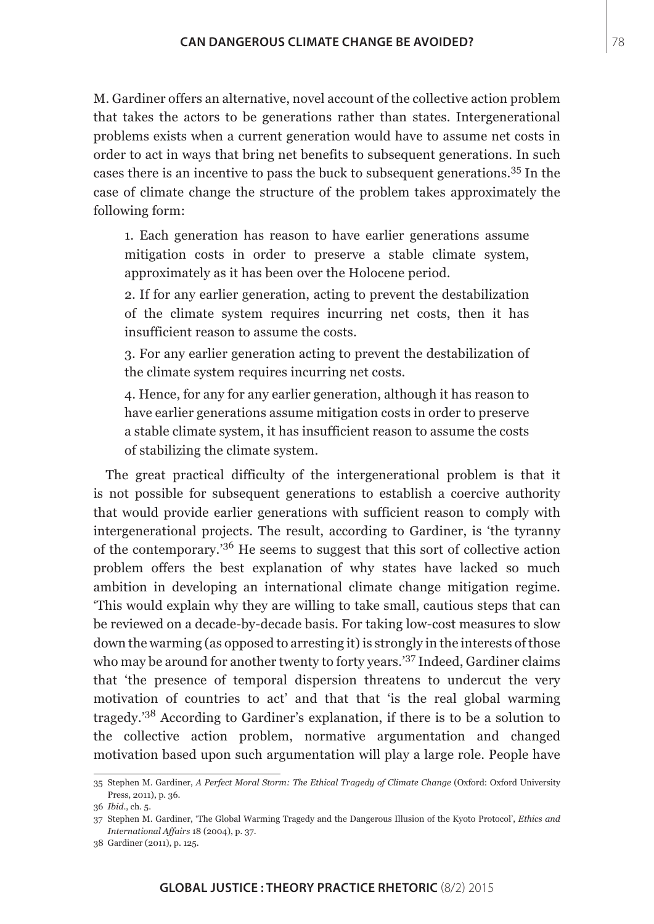M. Gardiner offers an alternative, novel account of the collective action problem that takes the actors to be generations rather than states. Intergenerational problems exists when a current generation would have to assume net costs in order to act in ways that bring net benefits to subsequent generations. In such cases there is an incentive to pass the buck to subsequent generations.35 In the case of climate change the structure of the problem takes approximately the following form:

1. Each generation has reason to have earlier generations assume mitigation costs in order to preserve a stable climate system, approximately as it has been over the Holocene period.

2. If for any earlier generation, acting to prevent the destabilization of the climate system requires incurring net costs, then it has insufficient reason to assume the costs.

3. For any earlier generation acting to prevent the destabilization of the climate system requires incurring net costs.

4. Hence, for any for any earlier generation, although it has reason to have earlier generations assume mitigation costs in order to preserve a stable climate system, it has insufficient reason to assume the costs of stabilizing the climate system.

The great practical difficulty of the intergenerational problem is that it is not possible for subsequent generations to establish a coercive authority that would provide earlier generations with sufficient reason to comply with intergenerational projects. The result, according to Gardiner, is 'the tyranny of the contemporary.'36 He seems to suggest that this sort of collective action problem offers the best explanation of why states have lacked so much ambition in developing an international climate change mitigation regime. 'This would explain why they are willing to take small, cautious steps that can be reviewed on a decade-by-decade basis. For taking low-cost measures to slow down the warming (as opposed to arresting it) is strongly in the interests of those who may be around for another twenty to forty years.'37 Indeed, Gardiner claims that 'the presence of temporal dispersion threatens to undercut the very motivation of countries to act' and that that 'is the real global warming tragedy.'38 According to Gardiner's explanation, if there is to be a solution to the collective action problem, normative argumentation and changed motivation based upon such argumentation will play a large role. People have

<sup>35</sup> Stephen M. Gardiner, *A Perfect Moral Storm: The Ethical Tragedy of Climate Change* (Oxford: Oxford University Press, 2011), p. 36.

<sup>36</sup> *Ibid*., ch. 5.

<sup>37</sup> Stephen M. Gardiner, 'The Global Warming Tragedy and the Dangerous Illusion of the Kyoto Protocol', *Ethics and International Affairs* 18 (2004), p. 37.

<sup>38</sup> Gardiner (2011), p. 125.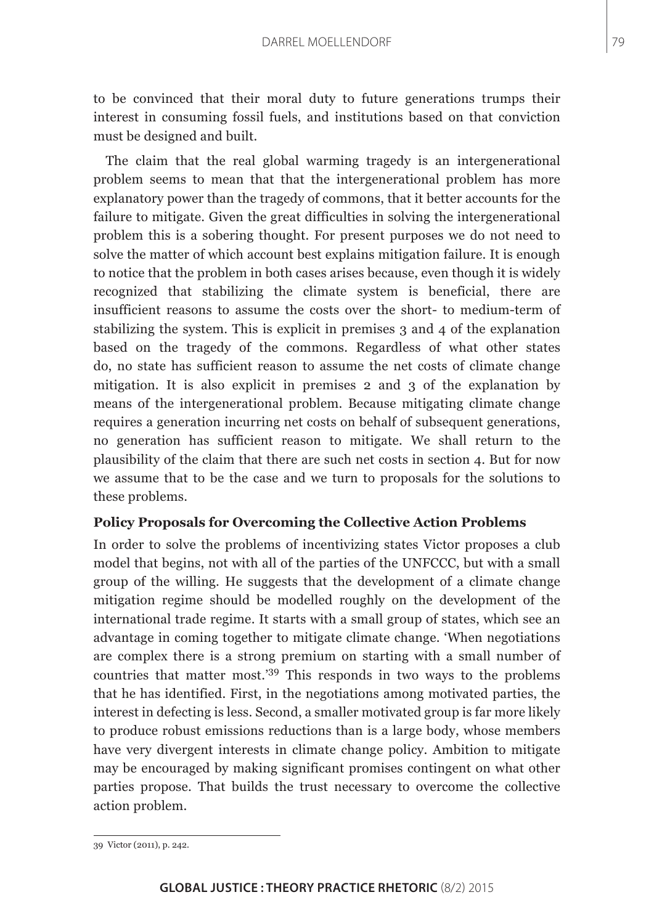to be convinced that their moral duty to future generations trumps their interest in consuming fossil fuels, and institutions based on that conviction must be designed and built.

The claim that the real global warming tragedy is an intergenerational problem seems to mean that that the intergenerational problem has more explanatory power than the tragedy of commons, that it better accounts for the failure to mitigate. Given the great difficulties in solving the intergenerational problem this is a sobering thought. For present purposes we do not need to solve the matter of which account best explains mitigation failure. It is enough to notice that the problem in both cases arises because, even though it is widely recognized that stabilizing the climate system is beneficial, there are insufficient reasons to assume the costs over the short- to medium-term of stabilizing the system. This is explicit in premises 3 and 4 of the explanation based on the tragedy of the commons. Regardless of what other states do, no state has sufficient reason to assume the net costs of climate change mitigation. It is also explicit in premises 2 and 3 of the explanation by means of the intergenerational problem. Because mitigating climate change requires a generation incurring net costs on behalf of subsequent generations, no generation has sufficient reason to mitigate. We shall return to the plausibility of the claim that there are such net costs in section 4. But for now we assume that to be the case and we turn to proposals for the solutions to these problems.

#### **Policy Proposals for Overcoming the Collective Action Problems**

In order to solve the problems of incentivizing states Victor proposes a club model that begins, not with all of the parties of the UNFCCC, but with a small group of the willing. He suggests that the development of a climate change mitigation regime should be modelled roughly on the development of the international trade regime. It starts with a small group of states, which see an advantage in coming together to mitigate climate change. 'When negotiations are complex there is a strong premium on starting with a small number of countries that matter most.'39 This responds in two ways to the problems that he has identified. First, in the negotiations among motivated parties, the interest in defecting is less. Second, a smaller motivated group is far more likely to produce robust emissions reductions than is a large body, whose members have very divergent interests in climate change policy. Ambition to mitigate may be encouraged by making significant promises contingent on what other parties propose. That builds the trust necessary to overcome the collective action problem.

<sup>39</sup> Victor (2011), p. 242.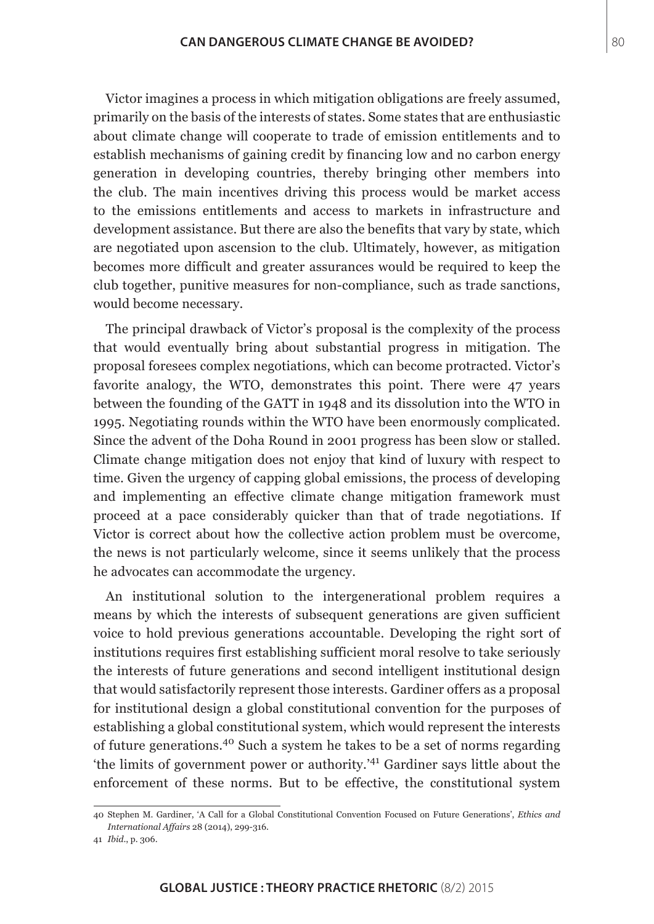Victor imagines a process in which mitigation obligations are freely assumed, primarily on the basis of the interests of states. Some states that are enthusiastic about climate change will cooperate to trade of emission entitlements and to establish mechanisms of gaining credit by financing low and no carbon energy generation in developing countries, thereby bringing other members into the club. The main incentives driving this process would be market access to the emissions entitlements and access to markets in infrastructure and development assistance. But there are also the benefits that vary by state, which are negotiated upon ascension to the club. Ultimately, however, as mitigation becomes more difficult and greater assurances would be required to keep the club together, punitive measures for non-compliance, such as trade sanctions, would become necessary.

The principal drawback of Victor's proposal is the complexity of the process that would eventually bring about substantial progress in mitigation. The proposal foresees complex negotiations, which can become protracted. Victor's favorite analogy, the WTO, demonstrates this point. There were 47 years between the founding of the GATT in 1948 and its dissolution into the WTO in 1995. Negotiating rounds within the WTO have been enormously complicated. Since the advent of the Doha Round in 2001 progress has been slow or stalled. Climate change mitigation does not enjoy that kind of luxury with respect to time. Given the urgency of capping global emissions, the process of developing and implementing an effective climate change mitigation framework must proceed at a pace considerably quicker than that of trade negotiations. If Victor is correct about how the collective action problem must be overcome, the news is not particularly welcome, since it seems unlikely that the process he advocates can accommodate the urgency.

An institutional solution to the intergenerational problem requires a means by which the interests of subsequent generations are given sufficient voice to hold previous generations accountable. Developing the right sort of institutions requires first establishing sufficient moral resolve to take seriously the interests of future generations and second intelligent institutional design that would satisfactorily represent those interests. Gardiner offers as a proposal for institutional design a global constitutional convention for the purposes of establishing a global constitutional system, which would represent the interests of future generations.40 Such a system he takes to be a set of norms regarding 'the limits of government power or authority.'41 Gardiner says little about the enforcement of these norms. But to be effective, the constitutional system

<sup>40</sup> Stephen M. Gardiner, 'A Call for a Global Constitutional Convention Focused on Future Generations', *Ethics and International Affairs* 28 (2014), 299-316.

<sup>41</sup> *Ibid*., p. 306.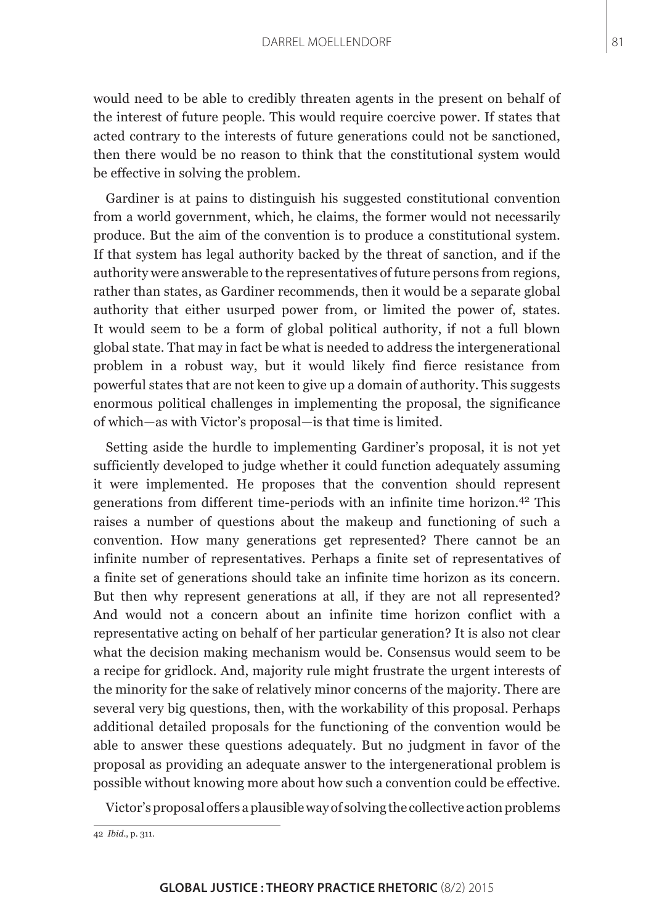would need to be able to credibly threaten agents in the present on behalf of the interest of future people. This would require coercive power. If states that acted contrary to the interests of future generations could not be sanctioned, then there would be no reason to think that the constitutional system would be effective in solving the problem.

Gardiner is at pains to distinguish his suggested constitutional convention from a world government, which, he claims, the former would not necessarily produce. But the aim of the convention is to produce a constitutional system. If that system has legal authority backed by the threat of sanction, and if the authority were answerable to the representatives of future persons from regions, rather than states, as Gardiner recommends, then it would be a separate global authority that either usurped power from, or limited the power of, states. It would seem to be a form of global political authority, if not a full blown global state. That may in fact be what is needed to address the intergenerational problem in a robust way, but it would likely find fierce resistance from powerful states that are not keen to give up a domain of authority. This suggests enormous political challenges in implementing the proposal, the significance of which—as with Victor's proposal—is that time is limited.

Setting aside the hurdle to implementing Gardiner's proposal, it is not yet sufficiently developed to judge whether it could function adequately assuming it were implemented. He proposes that the convention should represent generations from different time-periods with an infinite time horizon.42 This raises a number of questions about the makeup and functioning of such a convention. How many generations get represented? There cannot be an infinite number of representatives. Perhaps a finite set of representatives of a finite set of generations should take an infinite time horizon as its concern. But then why represent generations at all, if they are not all represented? And would not a concern about an infinite time horizon conflict with a representative acting on behalf of her particular generation? It is also not clear what the decision making mechanism would be. Consensus would seem to be a recipe for gridlock. And, majority rule might frustrate the urgent interests of the minority for the sake of relatively minor concerns of the majority. There are several very big questions, then, with the workability of this proposal. Perhaps additional detailed proposals for the functioning of the convention would be able to answer these questions adequately. But no judgment in favor of the proposal as providing an adequate answer to the intergenerational problem is possible without knowing more about how such a convention could be effective.

Victor's proposal offers a plausible way of solving the collective action problems

<sup>42</sup> *Ibid*., p. 311.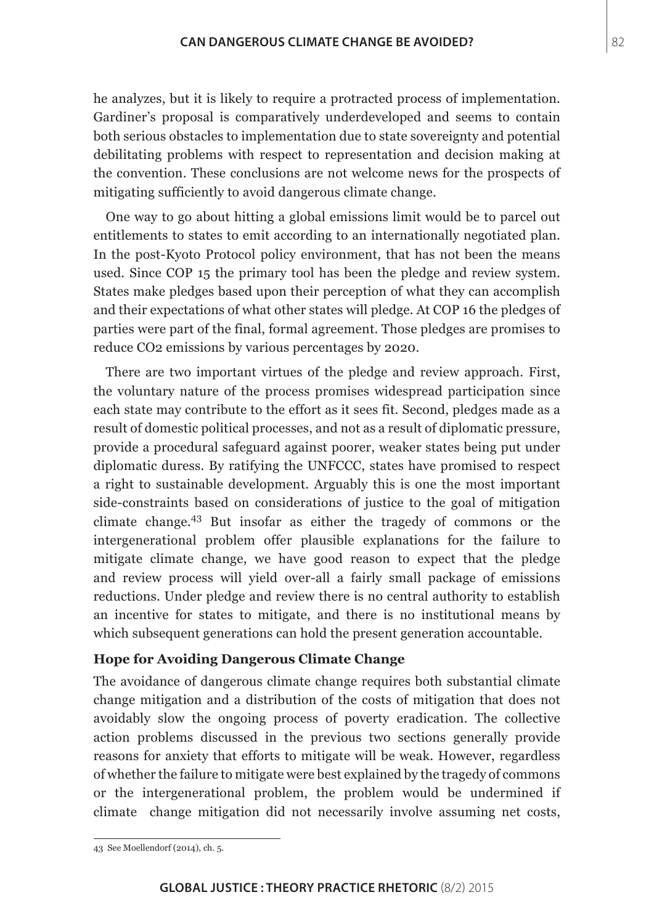he analyzes, but it is likely to require a protracted process of implementation. Gardiner's proposal is comparatively underdeveloped and seems to contain both serious obstacles to implementation due to state sovereignty and potential debilitating problems with respect to representation and decision making at the convention. These conclusions are not welcome news for the prospects of mitigating sufficiently to avoid dangerous climate change.

One way to go about hitting a global emissions limit would be to parcel out entitlements to states to emit according to an internationally negotiated plan. In the post-Kyoto Protocol policy environment, that has not been the means used. Since COP 15 the primary tool has been the pledge and review system. States make pledges based upon their perception of what they can accomplish and their expectations of what other states will pledge. At COP 16 the pledges of parties were part of the final, formal agreement. Those pledges are promises to reduce CO2 emissions by various percentages by 2020.

There are two important virtues of the pledge and review approach. First, the voluntary nature of the process promises widespread participation since each state may contribute to the effort as it sees fit. Second, pledges made as a result of domestic political processes, and not as a result of diplomatic pressure, provide a procedural safeguard against poorer, weaker states being put under diplomatic duress. By ratifying the UNFCCC, states have promised to respect a right to sustainable development. Arguably this is one the most important side-constraints based on considerations of justice to the goal of mitigation climate change.43 But insofar as either the tragedy of commons or the intergenerational problem offer plausible explanations for the failure to mitigate climate change, we have good reason to expect that the pledge and review process will yield over-all a fairly small package of emissions reductions. Under pledge and review there is no central authority to establish an incentive for states to mitigate, and there is no institutional means by which subsequent generations can hold the present generation accountable.

#### **Hope for Avoiding Dangerous Climate Change**

The avoidance of dangerous climate change requires both substantial climate change mitigation and a distribution of the costs of mitigation that does not avoidably slow the ongoing process of poverty eradication. The collective action problems discussed in the previous two sections generally provide reasons for anxiety that efforts to mitigate will be weak. However, regardless of whether the failure to mitigate were best explained by the tragedy of commons or the intergenerational problem, the problem would be undermined if climate change mitigation did not necessarily involve assuming net costs,

<sup>43</sup> See Moellendorf (2014), ch. 5.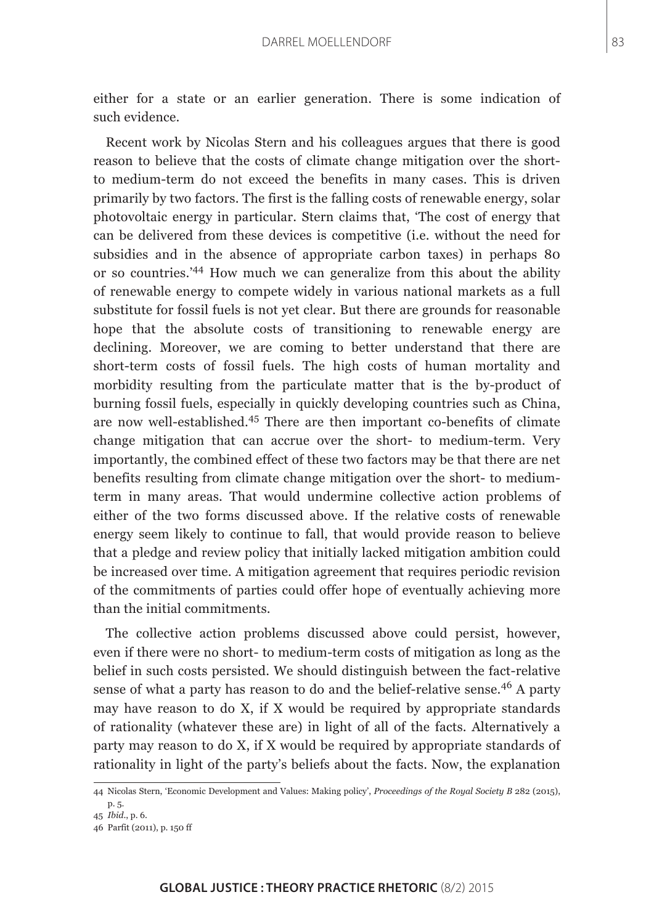either for a state or an earlier generation. There is some indication of such evidence.

Recent work by Nicolas Stern and his colleagues argues that there is good reason to believe that the costs of climate change mitigation over the shortto medium-term do not exceed the benefits in many cases. This is driven primarily by two factors. The first is the falling costs of renewable energy, solar photovoltaic energy in particular. Stern claims that, 'The cost of energy that can be delivered from these devices is competitive (i.e. without the need for subsidies and in the absence of appropriate carbon taxes) in perhaps 80 or so countries.'44 How much we can generalize from this about the ability of renewable energy to compete widely in various national markets as a full substitute for fossil fuels is not yet clear. But there are grounds for reasonable hope that the absolute costs of transitioning to renewable energy are declining. Moreover, we are coming to better understand that there are short-term costs of fossil fuels. The high costs of human mortality and morbidity resulting from the particulate matter that is the by-product of burning fossil fuels, especially in quickly developing countries such as China, are now well-established.45 There are then important co-benefits of climate change mitigation that can accrue over the short- to medium-term. Very importantly, the combined effect of these two factors may be that there are net benefits resulting from climate change mitigation over the short- to mediumterm in many areas. That would undermine collective action problems of either of the two forms discussed above. If the relative costs of renewable energy seem likely to continue to fall, that would provide reason to believe that a pledge and review policy that initially lacked mitigation ambition could be increased over time. A mitigation agreement that requires periodic revision of the commitments of parties could offer hope of eventually achieving more than the initial commitments.

The collective action problems discussed above could persist, however, even if there were no short- to medium-term costs of mitigation as long as the belief in such costs persisted. We should distinguish between the fact-relative sense of what a party has reason to do and the belief-relative sense.<sup>46</sup> A party may have reason to do X, if X would be required by appropriate standards of rationality (whatever these are) in light of all of the facts. Alternatively a party may reason to do X, if X would be required by appropriate standards of rationality in light of the party's beliefs about the facts. Now, the explanation

<sup>44</sup> Nicolas Stern, 'Economic Development and Values: Making policy', *Proceedings of the Royal Society B* 282 (2015), p. 5.

<sup>45</sup> *Ibid*., p. 6.

<sup>46</sup> Parfit (2011), p. 150 ff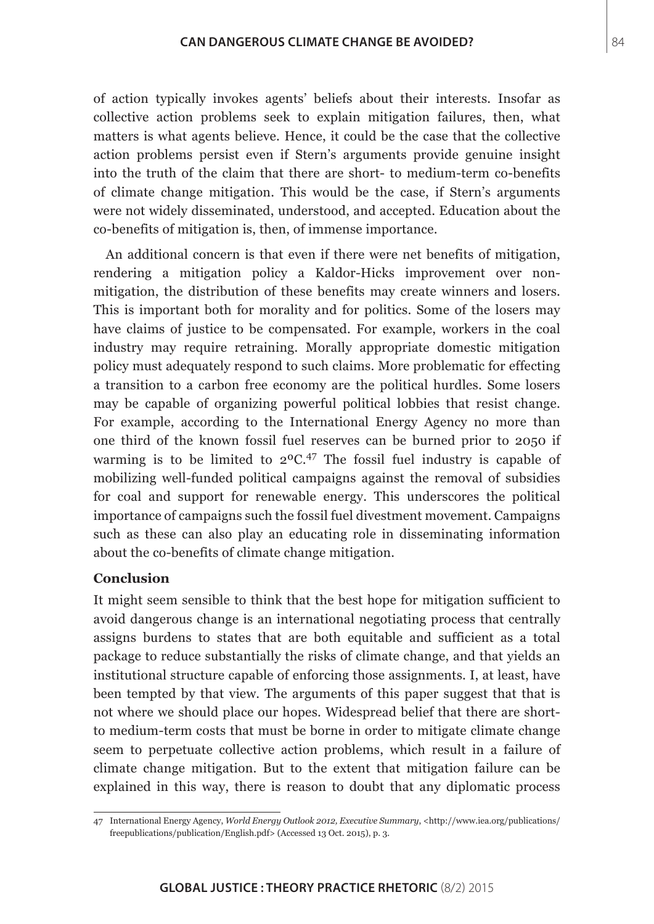of action typically invokes agents' beliefs about their interests. Insofar as collective action problems seek to explain mitigation failures, then, what matters is what agents believe. Hence, it could be the case that the collective action problems persist even if Stern's arguments provide genuine insight into the truth of the claim that there are short- to medium-term co-benefits of climate change mitigation. This would be the case, if Stern's arguments were not widely disseminated, understood, and accepted. Education about the co-benefits of mitigation is, then, of immense importance.

An additional concern is that even if there were net benefits of mitigation, rendering a mitigation policy a Kaldor-Hicks improvement over nonmitigation, the distribution of these benefits may create winners and losers. This is important both for morality and for politics. Some of the losers may have claims of justice to be compensated. For example, workers in the coal industry may require retraining. Morally appropriate domestic mitigation policy must adequately respond to such claims. More problematic for effecting a transition to a carbon free economy are the political hurdles. Some losers may be capable of organizing powerful political lobbies that resist change. For example, according to the International Energy Agency no more than one third of the known fossil fuel reserves can be burned prior to 2050 if warming is to be limited to  $2^{\circ}C^{47}$ . The fossil fuel industry is capable of mobilizing well-funded political campaigns against the removal of subsidies for coal and support for renewable energy. This underscores the political importance of campaigns such the fossil fuel divestment movement. Campaigns such as these can also play an educating role in disseminating information about the co-benefits of climate change mitigation.

## **Conclusion**

It might seem sensible to think that the best hope for mitigation sufficient to avoid dangerous change is an international negotiating process that centrally assigns burdens to states that are both equitable and sufficient as a total package to reduce substantially the risks of climate change, and that yields an institutional structure capable of enforcing those assignments. I, at least, have been tempted by that view. The arguments of this paper suggest that that is not where we should place our hopes. Widespread belief that there are shortto medium-term costs that must be borne in order to mitigate climate change seem to perpetuate collective action problems, which result in a failure of climate change mitigation. But to the extent that mitigation failure can be explained in this way, there is reason to doubt that any diplomatic process

<sup>47</sup> International Energy Agency, *World Energy Outlook 2012, Executive Summary*, <[http://www.iea.org/publications/](http://www.iea.org/publications/freepublications/publication/English.pdf) [freepublications/publication/English.pdf](http://www.iea.org/publications/freepublications/publication/English.pdf)> (Accessed 13 Oct. 2015), p. 3.